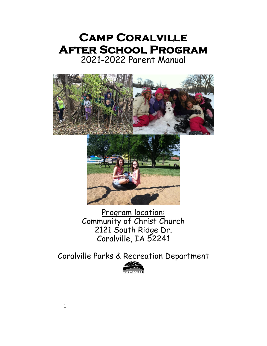# **Camp Coralville After School Program**  2021-2022 Parent Manual





Program location: Community of Christ Church 2121 South Ridge Dr. Coralville, IA 52241

Coralville Parks & Recreation Department

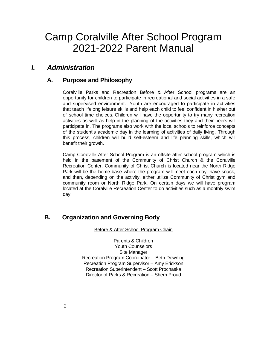# Camp Coralville After School Program 2021-2022 Parent Manual

# *I. Administration*

## **A. Purpose and Philosophy**

Coralville Parks and Recreation Before & After School programs are an opportunity for children to participate in recreational and social activities in a safe and supervised environment. Youth are encouraged to participate in activities that teach lifelong leisure skills and help each child to feel confident in his/her out of school time choices. Children will have the opportunity to try many recreation activities as well as help in the planning of the activities they and their peers will participate in. The programs also work with the local schools to reinforce concepts of the student's academic day in the learning of activities of daily living. Through this process, children will build self-esteem and life planning skills, which will benefit their growth.

Camp Coralville After School Program is an offsite after school program which is held in the basement of the Community of Christ Church & the Coralville Recreation Center. Community of Christ Church is located near the North Ridge Park will be the home-base where the program will meet each day, have snack, and then, depending on the activity, either utilize Community of Christ gym and community room or North Ridge Park. On certain days we will have program located at the Coralville Recreation Center to do activities such as a monthly swim day.

# **B. Organization and Governing Body**

Before & After School Program Chain

Parents & Children Youth Counselors Site Manager Recreation Program Coordinator – Beth Downing Recreation Program Supervisor – Amy Erickson Recreation Superintendent – Scott Prochaska Director of Parks & Recreation – Sherri Proud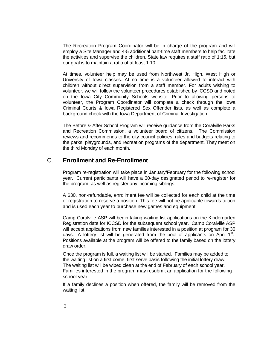The Recreation Program Coordinator will be in charge of the program and will employ a Site Manager and 4-5 additional part-time staff members to help facilitate the activities and supervise the children. State law requires a staff ratio of 1:15, but our goal is to maintain a ratio of at least 1:10.

At times, volunteer help may be used from Northwest Jr. High, West High or University of Iowa classes. At no time is a volunteer allowed to interact with children without direct supervision from a staff member. For adults wishing to volunteer, we will follow the volunteer procedures established by ICCSD and noted on the Iowa City Community Schools website. Prior to allowing persons to volunteer, the Program Coordinator will complete a check through the Iowa Criminal Courts & Iowa Registered Sex Offender lists, as well as complete a background check with the Iowa Department of Criminal Investigation.

The Before & After School Program will receive guidance from the Coralville Parks and Recreation Commission, a volunteer board of citizens. The Commission reviews and recommends to the city council policies, rules and budgets relating to the parks, playgrounds, and recreation programs of the department. They meet on the third Monday of each month.

#### C. **Enrollment and Re-Enrollment**

Program re-registration will take place in January/February for the following school year. Current participants will have a 30-day designated period to re-register for the program, as well as register any incoming siblings.

A \$30, non-refundable, enrollment fee will be collected for each child at the time of registration to reserve a position. This fee will not be applicable towards tuition and is used each year to purchase new games and equipment.

Camp Coralville ASP will begin taking waiting list applications on the Kindergarten Registration date for ICCSD for the subsequent school year. Camp Coralville ASP will accept applications from new families interested in a position at program for 30 days. A lottery list will be generated from the pool of applicants on April  $1<sup>st</sup>$ . Positions available at the program will be offered to the family based on the lottery draw order.

Once the program is full, a waiting list will be started. Families may be added to the waiting list on a first come, first serve basis following the initial lottery draw. The waiting list will be wiped clean at the end of February of each school year. Families interested in the program may resubmit an application for the following school year.

If a family declines a position when offered, the family will be removed from the waiting list.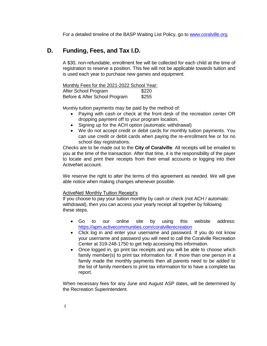For a detailed timeline of the BASP Waiting List Policy, go to [www.coralville.org](http://www.coralville.org/)

# **D. Funding, Fees, and Tax I.D.**

A \$30, non-refundable, enrollment fee will be collected for each child at the time of registration to reserve a position. This fee will not be applicable towards tuition and is used each year to purchase new games and equipment.

| Monthly Fees for the 2021-2022 School Year: |       |
|---------------------------------------------|-------|
| After School Program                        | \$220 |
| Before & After School Program               | \$255 |

Monthly tuition payments may be paid by the method of:

- Paying with cash or check at the front desk of the recreation center OR dropping payment off to your program location.
- Signing up for the ACH option (automatic withdrawal)
- We do not accept credit or debit cards for monthly tuition payments. You can use credit or debit cards when paying the re-enrollment fee or for no school day registrations.

Checks are to be made out to the **City of Coralville**. All receipts will be emailed to you at the time of the transaction. After that time, it is the responsibility of the payer to locate and print their receipts from their email accounts or logging into their ActiveNet account.

We reserve the right to alter the terms of this agreement as needed. We will give able notice when making changes whenever possible.

#### ActiveNet/ Monthly Tuition Receipt's

If you choose to pay your tuition monthly by cash or check (not ACH / automatic withdrawal), then you can access your yearly receipt all together by following these steps.

- Go to our online site by using this website address: <https://apm.activecommunities.com/coralvillerecreation>
- Click log in and enter your username and password. If you do not know your username and password you will need to call the Coralville Recreation Center at 319-248-1750 to get help accessing this information.
- Once logged in, go print tax receipts and you will be able to choose which family member(s) to print tax information for. If more than one person in a family made the monthly payments then all parents need to be added to the list of family members to print tax information for to have a complete tax report.

When necessary fees for any June and August ASP dates, will be determined by the Recreation Superintendent.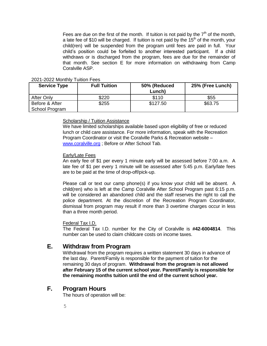Fees are due on the first of the month. If tuition is not paid by the  $7<sup>th</sup>$  of the month, a late fee of \$10 will be charged. If tuition is not paid by the  $15<sup>th</sup>$  of the month, your child(ren) will be suspended from the program until fees are paid in full. Your child's position could be forfeited to another interested participant. If a child withdraws or is discharged from the program, fees are due for the remainder of that month. See section E for more information on withdrawing from Camp Coralville ASP.

#### 2021-2022 Monthly Tuition Fees

| <b>Service Type</b> | <b>Full Tuition</b> | 50% (Reduced<br>Lunch) | 25% (Free Lunch) |
|---------------------|---------------------|------------------------|------------------|
| <b>After Only</b>   | \$220               | \$110                  | \$55             |
| Before & After      | \$255               | \$127.50               | \$63.75          |
| School Program      |                     |                        |                  |

#### Scholarship / Tuition Assistance

We have limited scholarships available based upon eligibility of free or reduced lunch or child care assistance. For more information, speak with the Recreation Program Coordinator or visit the Coralville Parks & Recreation website – [www.coralville.org](http://www.coralville.org/) ; Before or After School Tab.

#### Early/Late Fees

An early fee of \$1 per every 1 minute early will be assessed before 7:00 a.m. A late fee of \$1 per every 1 minute will be assessed after 5:45 p.m. Early/late fees are to be paid at the time of drop-off/pick-up.

Please call or text our camp phone(s) if you know your child will be absent. A child(ren) who is left at the Camp Coralville After School Program past 6:15 p.m. will be considered an abandoned child and the staff reserves the right to call the police department. At the discretion of the Recreation Program Coordinator, dismissal from program may result if more than 3 overtime charges occur in less than a three month period.

#### Federal Tax I.D.

The Federal Tax I.D. number for the City of Coralville is **#42-6004814**. This number can be used to claim childcare costs on income taxes.

#### **E. Withdraw from Program**

Withdrawal from the program requires a written statement 30 days in advance of the last day. Parent/Family is responsible for the payment of tuition for the remaining 30 days of program. **Withdrawal from the program is not allowed after February 15 of the current school year. Parent/Family is responsible for the remaining months tuition until the end of the current school year.**

#### **F. Program Hours**

The hours of operation will be: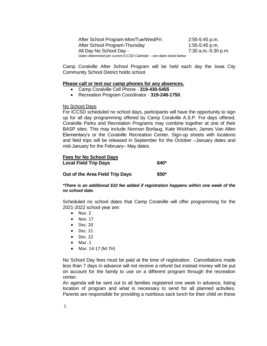After School Program-Mon/Tue/Wed/Fri 2:55-5:45 p.m. After School Program-Thursday 1:55-5:45 p.m. All Day No School Day - 7:30 a.m.-5:30 p.m. *Dates determined per current ICCSD Calendar – see dates listed below*

Camp Coralville After School Program will be held each day the Iowa City Community School District holds school.

#### **Please call or text our camp phones for any absences.**

- Camp Coralville Cell Phone **319-430-5455**
- Recreation Program Coordinator **319-248-1750**.

#### No School Days

For ICCSD scheduled no school days, participants will have the opportunity to sign up for all day programming offered by Camp Coralville A.S.P. For days offered, Coralville Parks and Recreation Programs may combine together at one of their BASP sites. This may include Norman Borlaug, Kate Wickham, James Van Allen Elementary's or the Coralville Recreation Center. Sign-up sheets with locations and field trips will be released in September for the October –January dates and mid-January for the February– May dates.

# **Fees for No School Days Local Field Trip Days \$40\***

#### **Out of the Area Field Trip Days \$50\***

#### *\*There is an additional \$10 fee added if registration happens within one week of the no school date.*

Scheduled no school dates that Camp Coralville will offer programming for the 2021-2022 school year are:

- $\bullet$  Nov. 2
- $\bullet$  Nov. 17
- Dec. 20
- $\bullet$  Dec. 21
- $\bullet$  Dec. 22
- $•$  Mar. 1
- Mar. 14-17 (M-TH)

No School Day fees must be paid at the time of registration. Cancellations made less than 7 days in advance will not receive a refund but instead money will be put on account for the family to use on a different program through the recreation center.

An agenda will be sent out to all families registered one week in advance, listing location of program and what is necessary to send for all planned activities. Parents are responsible for providing a nutritious sack lunch for their child on these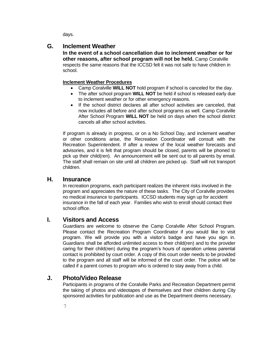days.

## **G. Inclement Weather**

**In the event of a school cancellation due to inclement weather or for other reasons, after school program will not be held.** Camp Coralville respects the same reasons that the ICCSD felt it was not safe to have children in school.

#### **Inclement Weather Procedures**

- Camp Coralville **WILL NOT** hold program if school is canceled for the day.
- The after school program **WILL NOT** be held if school is released early due to inclement weather or for other emergency reasons.
- If the school district declares all after school activities are canceled, that now includes all before and after school programs as well. Camp Coralville After School Program **WILL NOT** be held on days when the school district cancels all after school activities.

If program is already in progress, or on a No School Day, and inclement weather or other conditions arise, the Recreation Coordinator will consult with the Recreation Superintendent. If after a review of the local weather forecasts and advisories, and it is felt that program should be closed, parents will be phoned to pick up their child(ren). An announcement will be sent out to all parents by email. The staff shall remain on site until all children are picked up. Staff will not transport children.

#### **H. Insurance**

In recreation programs, each participant realizes the inherent risks involved in the program and appreciates the nature of these tasks. The City of Coralville provides no medical insurance to participants. ICCSD students may sign up for accident insurance in the fall of each year. Families who wish to enroll should contact their school office.

### **I. Visitors and Access**

Guardians are welcome to observe the Camp Coralville After School Program. Please contact the Recreation Program Coordinator if you would like to visit program. We will provide you with a visitor's badge and have you sign in. Guardians shall be afforded unlimited access to their child(ren) and to the provider caring for their child(ren) during the program's hours of operation unless parental contact is prohibited by court order. A copy of this court order needs to be provided to the program and all staff will be informed of the court order. The police will be called if a parent comes to program who is ordered to stay away from a child.

# **J. Photo/Video Release**

Participants in programs of the Coralville Parks and Recreation Department permit the taking of photos and videotapes of themselves and their children during City sponsored activities for publication and use as the Department deems necessary.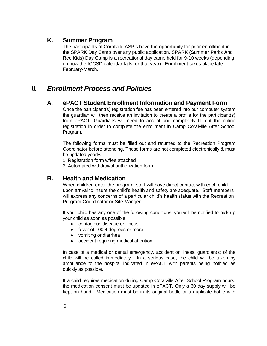### **K. Summer Program**

The participants of Coralville ASP's have the opportunity for prior enrollment in the SPARK Day Camp over any public application. SPARK (**S**ummer **P**arks **A**nd **R**ec **K**ids) Day Camp is a recreational day camp held for 9-10 weeks (depending on how the ICCSD calendar falls for that year). Enrollment takes place late February-March.

# *II. Enrollment Process and Policies*

### **A. ePACT Student Enrollment Information and Payment Form**

Once the participant(s) registration fee has been entered into our computer system the guardian will then receive an invitation to create a profile for the participant(s) from ePACT. Guardians will need to accept and completely fill out the online registration in order to complete the enrollment in Camp Coralville After School Program.

 The following forms must be filled out and returned to the Recreation Program Coordinator before attending. These forms are not completed electronically & must be updated yearly.

1. Registration form w/fee attached

2. Automated withdrawal authorization form

### **B. Health and Medication**

When children enter the program, staff will have direct contact with each child upon arrival to insure the child's health and safety are adequate. Staff members will express any concerns of a particular child's health status with the Recreation Program Coordinator or Site Manger.

If your child has any one of the following conditions, you will be notified to pick up your child as soon as possible:

- contagious disease or illness
- fever of 100.4 degrees or more
- vomiting or diarrhea
- accident requiring medical attention

In case of a medical or dental emergency, accident or illness, guardian(s) of the child will be called immediately. In a serious case, the child will be taken by ambulance to the hospital indicated in ePACT with parents being notified as quickly as possible.

If a child requires medication during Camp Coralville After School Program hours, the medication consent must be updated in ePACT. Only a 30 day supply will be kept on hand. Medication must be in its original bottle or a duplicate bottle with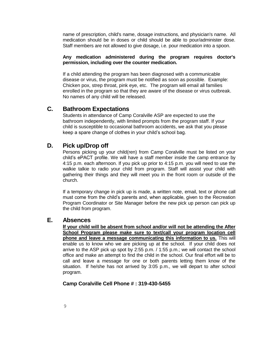name of prescription, child's name, dosage instructions, and physician's name. All medication should be in doses or child should be able to pour/administer dose. Staff members are not allowed to give dosage, i.e. pour medication into a spoon.

#### **Any medication administered during the program requires doctor's permission, including over the counter medication.**

If a child attending the program has been diagnosed with a communicable disease or virus, the program must be notified as soon as possible. Example: Chicken pox, strep throat, pink eye, etc. The program will email all families enrolled in the program so that they are aware of the disease or virus outbreak. No names of any child will be released.

#### **C. Bathroom Expectations**

Students in attendance of Camp Coralville ASP are expected to use the bathroom independently, with limited prompts from the program staff. If your child is susceptible to occasional bathroom accidents, we ask that you please keep a spare change of clothes in your child's school bag.

#### **D. Pick up/Drop off**

Persons picking up your child(ren) from Camp Coralville must be listed on your child's ePACT profile. We will have a staff member inside the camp entrance by 4:15 p.m. each afternoon. If you pick up prior to 4:15 p.m. you will need to use the walkie talkie to radio your child from program. Staff will assist your child with gathering their things and they will meet you in the front room or outside of the church.

If a temporary change in pick up is made, a written note, email, text or phone call must come from the child's parents and, when applicable, given to the Recreation Program Coordinator or Site Manager before the new pick up person can pick up the child from program.

#### **E. Absences**

**If your child will be absent from school and/or will not be attending the After School Program please make sure to text/call your program location cell phone and leave a message communicating this information to us.** This will enable us to know who we are picking up at the school. If your child does not arrive to the ASP pick up spot by 2:55 p.m. / 1:55 p.m.; we will contact the school office and make an attempt to find the child in the school. Our final effort will be to call and leave a message for one or both parents letting them know of the situation. If he/she has not arrived by 3:05 p.m., we will depart to after school program.

#### **Camp Coralville Cell Phone # : 319-430-5455**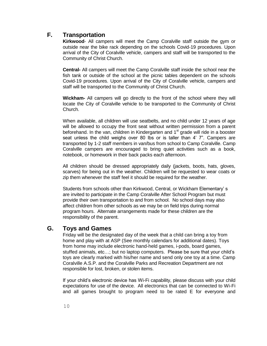# **F. Transportation**

**Kirkwood**- All campers will meet the Camp Coralville staff outside the gym or outside near the bike rack depending on the schools Covid-19 procedures. Upon arrival of the City of Coralville vehicle, campers and staff will be transported to the Community of Christ Church.

**Central-** All campers will meet the Camp Coralville staff inside the school near the fish tank or outside of the school at the picnic tables dependent on the schools Covid-19 procedures. Upon arrival of the City of Coralville vehicle, campers and staff will be transported to the Community of Christ Church.

**Wickham-** All campers will go directly to the front of the school where they will locate the City of Coralville vehicle to be transported to the Community of Christ Church.

When available, all children will use seatbelts, and no child under 12 years of age will be allowed to occupy the front seat without written permission from a parent beforehand. In the van, children in Kindergarten and  $1<sup>st</sup>$  grade will ride in a booster seat unless the child weighs over 80 lbs or is taller than 4' 7". Campers are transported by 1-2 staff members in van/bus from school to Camp Coralville. Camp Coralville campers are encouraged to bring quiet activities such as a book, notebook, or homework in their back packs each afternoon.

All children should be dressed appropriately daily (jackets, boots, hats, gloves, scarves) for being out in the weather. Children will be requested to wear coats or zip them whenever the staff feel it should be required for the weather.

Students from schools other than Kirkwood, Central, or Wickham Elementary' s are invited to participate in the Camp Coralville After School Program but must provide their own transportation to and from school. No school days may also affect children from other schools as we may be on field trips during normal program hours. Alternate arrangements made for these children are the responsibility of the parent.

# **G. Toys and Games**

Friday will be the designated day of the week that a child can bring a toy from home and play with at ASP (See monthly calendars for additional dates). Toys from home may include electronic hand-held games, i-pods, board games, stuffed animals, etc…; but no laptop computers. Please be sure that your child's toys are clearly marked with his/her name and send only one toy at a time. Camp Coralville A.S.P. and the Coralville Parks and Recreation Department are not responsible for lost, broken, or stolen items.

If your child's electronic device has Wi-Fi capability, please discuss with your child expectations for use of the device. All electronics that can be connected to Wi-Fi and all games brought to program need to be rated E for everyone and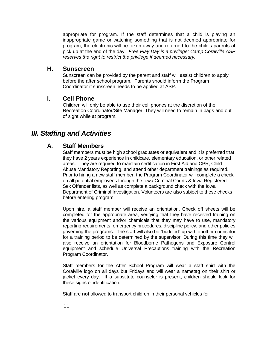appropriate for program. If the staff determines that a child is playing an inappropriate game or watching something that is not deemed appropriate for program, the electronic will be taken away and returned to the child's parents at pick up at the end of the day. *Free Play Day is a privilege; Camp Coralville ASP reserves the right to restrict the privilege if deemed necessary.*

#### **H. Sunscreen**

Sunscreen can be provided by the parent and staff will assist children to apply before the after school program. Parents should inform the Program Coordinator if sunscreen needs to be applied at ASP.

## **I. Cell Phone**

Children will only be able to use their cell phones at the discretion of the Recreation Coordinator/Site Manager. They will need to remain in bags and out of sight while at program.

# *III. Staffing and Activities*

## **A. Staff Members**

Staff members must be high school graduates or equivalent and it is preferred that they have 2 years experience in childcare, elementary education, or other related areas. They are required to maintain certification in First Aid and CPR, Child Abuse Mandatory Reporting, and attend other department trainings as required. Prior to hiring a new staff member, the Program Coordinator will complete a check on all potential employees through the Iowa Criminal Courts & Iowa Registered Sex Offender lists, as well as complete a background check with the Iowa Department of Criminal Investigation. Volunteers are also subject to these checks before entering program.

Upon hire, a staff member will receive an orientation. Check off sheets will be completed for the appropriate area, verifying that they have received training on the various equipment and/or chemicals that they may have to use, mandatory reporting requirements, emergency procedures, discipline policy, and other policies governing the programs. The staff will also be "buddied" up with another counselor for a training period to be determined by the supervisor. During this time they will also receive an orientation for Bloodborne Pathogens and Exposure Control equipment and schedule Universal Precautions training with the Recreation Program Coordinator.

Staff members for the After School Program will wear a staff shirt with the Coralville logo on all days but Fridays and will wear a nametag on their shirt or jacket every day. If a substitute counselor is present, children should look for these signs of identification.

Staff are **not** allowed to transport children in their personal vehicles for

11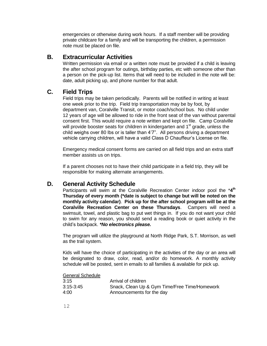emergencies or otherwise during work hours. If a staff member will be providing private childcare for a family and will be transporting the children, a permission note must be placed on file.

#### **B. Extracurricular Activities**

Written permission via email or a written note must be provided if a child is leaving the after school program for outings, birthday parties, etc with someone other than a person on the pick-up list. Items that will need to be included in the note will be: date, adult picking up, and phone number for that adult.

### **C. Field Trips**

Field trips may be taken periodically. Parents will be notified in writing at least one week prior to the trip. Field trip transportation may be by foot, by department van, Coralville Transit, or motor coach/school bus. No child under 12 years of age will be allowed to ride in the front seat of the van without parental consent first. This would require a note written and kept on file. Camp Coralville will provide booster seats for children in kindergarten and  $1<sup>st</sup>$  grade, unless the child weighs over 80 lbs or is taller than 4'7". All persons driving a department vehicle carrying children, will have a valid Class D Chauffeur's License on file.

Emergency medical consent forms are carried on all field trips and an extra staff member assists us on trips.

If a parent chooses not to have their child participate in a field trip, they will be responsible for making alternate arrangements.

### **D. General Activity Schedule**

Participants will swim at the Coralville Recreation Center indoor pool the \***4 th Thursday of every month (\*date is subject to change but will be noted on the monthly activity calendar)**. **Pick up for the after school program will be at the Coralville Recreation Center on these Thursdays**. Campers will need a swimsuit, towel, and plastic bag to put wet things in. If you do not want your child to swim for any reason, you should send a reading book or quiet activity in the child's backpack. *\*No electronics please.*

The program will utilize the playground at North Ridge Park, S.T. Morrison, as well as the trail system.

Kids will have the choice of participating in the activities of the day or an area will be designated to draw, color, read, and/or do homework. A monthly activity schedule will be posted, sent in emails to all families & available for pick up.

#### General Schedule

| 3:15          | Arrival of children                           |
|---------------|-----------------------------------------------|
| $3:15 - 3:45$ | Snack, Clean Up & Gym Time/Free Time/Homework |
| 4:00          | Announcements for the day                     |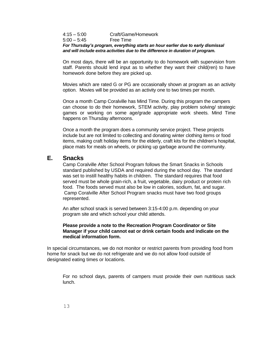#### 4:15 – 5:00 Craft/Game/Homework 5:00 – 5:45 Free Time *For Thursday's program, everything starts an hour earlier due to early dismissal and will include extra activities due to the difference in duration of program.*

On most days, there will be an opportunity to do homework with supervision from staff. Parents should lend input as to whether they want their child(ren) to have homework done before they are picked up.

Movies which are rated G or PG are occasionally shown at program as an activity option. Movies will be provided as an activity one to two times per month.

Once a month Camp Coralville has Mind Time. During this program the campers can choose to do their homework, STEM activity, play problem solving/ strategic games or working on some age/grade appropriate work sheets. Mind Time happens on Thursday afternoons.

Once a month the program does a community service project. These projects include but are not limited to collecting and donating winter clothing items or food items, making craft holiday items for the elderly, craft kits for the children's hospital, place mats for meals on wheels, or picking up garbage around the community.

#### **E. Snacks**

Camp Coralville After School Program follows the Smart Snacks in Schools standard published by USDA and required during the school day. The standard was set to instill healthy habits in children. The standard requires that food served must be whole grain-rich, a fruit, vegetable, dairy product or protein rich food. The foods served must also be low in calories, sodium, fat, and sugar. Camp Coralville After School Program snacks must have two food groups represented.

An after school snack is served between 3:15-4:00 p.m. depending on your program site and which school your child attends.

#### **Please provide a note to the Recreation Program Coordinator or Site Manager if your child cannot eat or drink certain foods and indicate on the medical information form.**

In special circumstances, we do not monitor or restrict parents from providing food from home for snack but we do not refrigerate and we do not allow food outside of designated eating times or locations.

For no school days, parents of campers must provide their own nutritious sack lunch.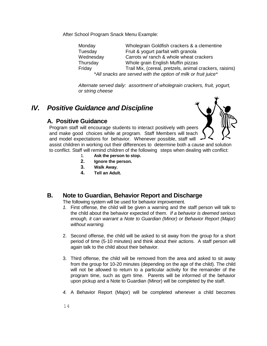After School Program Snack Menu Example:

Monday Wholegrain Goldfish crackers & a clementine Tuesday Fruit & yogurt parfait with granola Wednesday Carrots w/ ranch & whole wheat crackers Thursday Whole grain English Muffin pizzas Friday Trail Mix, (cereal, pretzels, animal crackers, raisins) \**All snacks are served with the option of milk or fruit juice\**

*Alternate served daily: assortment of wholegrain crackers, fruit, yogurt, or string cheese*

# *IV. Positive Guidance and Discipline*

## **A. Positive Guidance**

Program staff will encourage students to interact positively with peers and make good choices while at program. Staff Members will teach and model expectations for behavior. Whenever possible, staff will

assist children in working out their differences to determine both a cause and solution to conflict. Staff will remind children of the following steps when dealing with conflict:

- 1. **Ask the person to stop.**
- **2. Ignore the person.**
- **3. Walk Away.**
- **4. Tell an Adult.**

### **B. Note to Guardian, Behavior Report and Discharge**

The following system will be used for behavior improvement.

- *1.* First offense, the child will be given a warning and the staff person will talk to the child about the behavior expected of them. *If a behavior is deemed serious enough, it can warrant a Note to Guardian (Minor) or Behavior Report (Major) without warning.*
- 2. Second offense, the child will be asked to sit away from the group for a short period of time (5-10 minutes) and think about their actions. A staff person will again talk to the child about their behavior.
- 3. Third offense, the child will be removed from the area and asked to sit away from the group for 10-20 minutes (depending on the age of the child). The child will not be allowed to return to a particular activity for the remainder of the program time, such as gym time. Parents will be informed of the behavior upon pickup and a Note to Guardian (Minor) will be completed by the staff.
- *4.* A Behavior Report (Major) will be completed whenever a child becomes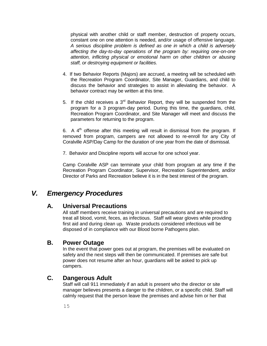physical with another child or staff member, destruction of property occurs, constant one on one attention is needed, and/or usage of offensive language. *A serious discipline problem is defined as one in which a child is adversely affecting the day-to-day operations of the program by: requiring one-on-one attention, inflicting physical or emotional harm on other children or abusing staff, or destroying equipment or facilities.*

- 4. If two Behavior Reports (Majors) are accrued, a meeting will be scheduled with the Recreation Program Coordinator, Site Manager, Guardians, and child to discuss the behavior and strategies to assist in alleviating the behavior. A behavior contract may be written at this time.
- 5. If the child receives a  $3<sup>rd</sup>$  Behavior Report, they will be suspended from the program for a 3 program-day period. During this time, the guardians, child, Recreation Program Coordinator, and Site Manager will meet and discuss the parameters for returning to the program.

6. A  $4<sup>th</sup>$  offense after this meeting will result in dismissal from the program. If removed from program, campers are not allowed to re-enroll for any City of Coralville ASP/Day Camp for the duration of one year from the date of dismissal.

7. Behavior and Discipline reports will accrue for one school year.

Camp Coralville ASP can terminate your child from program at any time if the Recreation Program Coordinator, Supervisor, Recreation Superintendent, and/or Director of Parks and Recreation believe it is in the best interest of the program.

# *V. Emergency Procedures*

### **A. Universal Precautions**

All staff members receive training in universal precautions and are required to treat all blood, vomit, feces, as infectious. Staff will wear gloves while providing first aid and during clean up. Waste products considered infectious will be disposed of in compliance with our Blood borne Pathogens plan.

### **B. Power Outage**

In the event that power goes out at program, the premises will be evaluated on safety and the next steps will then be communicated. If premises are safe but power does not resume after an hour, guardians will be asked to pick up campers.

### **C. Dangerous Adult**

Staff will call 911 immediately if an adult is present who the director or site manager believes presents a danger to the children, or a specific child. Staff will calmly request that the person leave the premises and advise him or her that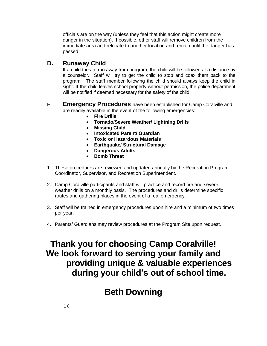officials are on the way (unless they feel that this action might create more danger in the situation). If possible, other staff will remove children from the immediate area and relocate to another location and remain until the danger has passed.

# **D. Runaway Child**

If a child tries to run away from program, the child will be followed at a distance by a counselor. Staff will try to get the child to stop and coax them back to the program. The staff member following the child should always keep the child in sight. If the child leaves school property without permission, the police department will be notified if deemed necessary for the safety of the child.

- E. **Emergency Procedures** have been established for Camp Coralville and are readily available in the event of the following emergencies:
	- **Fire Drills**
	- **Tornado/Severe Weather/ Lightning Drills**
	- **Missing Child**
	- **Intoxicated Parent/ Guardian**
	- **Toxic or Hazardous Materials**
	- **Earthquake/ Structural Damage**
	- **Dangerous Adults**
	- **Bomb Threat**
- 1. These procedures are reviewed and updated annually by the Recreation Program Coordinator, Supervisor, and Recreation Superintendent.
- 2. Camp Coralville participants and staff will practice and record fire and severe weather drills on a monthly basis. The procedures and drills determine specific routes and gathering places in the event of a real emergency.
- 3. Staff will be trained in emergency procedures upon hire and a minimum of two times per year.
- 4. Parents/ Guardians may review procedures at the Program Site upon request.

# **Thank you for choosing Camp Coralville! We look forward to serving your family and providing unique & valuable experiences during your child's out of school time.**

# **Beth Downing**